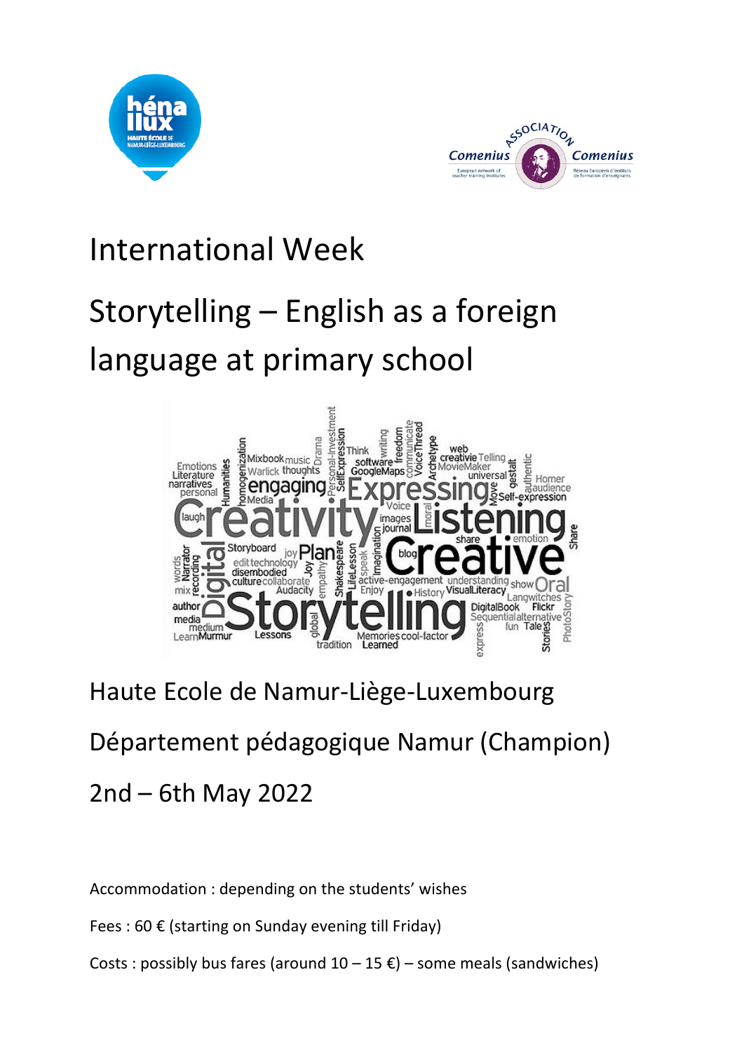



## International Week

## Storytelling – English as a foreign language at primary school



## Haute Ecole de Namur-Liège-Luxembourg

# Département pédagogique Namur (Champion)

## 2nd – 6th May 2022

### Accommodation : depending on the students' wishes

Fees : 60 € (starting on Sunday evening till Friday)

Costs : possibly bus fares (around  $10 - 15 \epsilon$ ) – some meals (sandwiches)